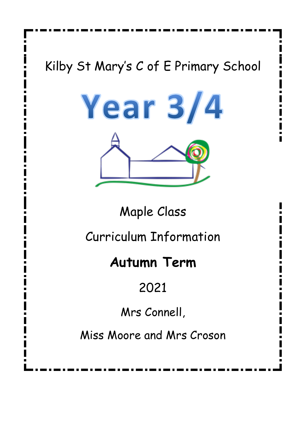# Kilby St Mary's C of E Primary School



Maple Class

Curriculum Information

# **Autumn Term**

# 2021

Mrs Connell,

Miss Moore and Mrs Croson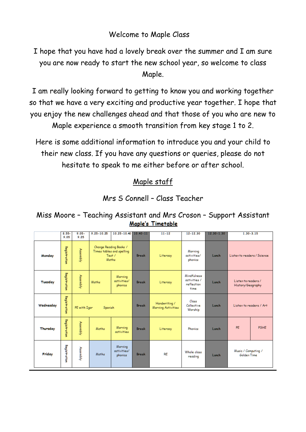## Welcome to Maple Class

I hope that you have had a lovely break over the summer and I am sure you are now ready to start the new school year, so welcome to class Maple.

I am really looking forward to getting to know you and working together so that we have a very exciting and productive year together. I hope that you enjoy the new challenges ahead and that those of you who are new to Maple experience a smooth transition from key stage 1 to 2.

Here is some additional information to introduce you and your child to their new class. If you have any questions or queries, please do not hesitate to speak to me either before or after school.

## Maple staff

Mrs S Connell – Class Teacher

Miss Moore – Teaching Assistant and Mrs Croson – Support AssistantMaple's Timetable

|           | $8.55 -$<br>9.05     | $9.05 -$<br>9.25        | $9.25 - 10.25$                                                        | $10.25 - 10.40$                   | $10.40 - 11$ | $11 - 12$                          | $12 - 12.30$                                      | $12.30 - 1.30$ | $1.30 - 3.15$                            |             |
|-----------|----------------------|-------------------------|-----------------------------------------------------------------------|-----------------------------------|--------------|------------------------------------|---------------------------------------------------|----------------|------------------------------------------|-------------|
| Monday    | <b>Registration</b>  | Assembly                | Change Reading Books /<br>Times tables and spelling<br>Test/<br>Maths |                                   | <b>Break</b> | Literacy                           | Morning<br>activities/<br>phonics                 | Lunch          | Listen to readers / Science              |             |
| Tuesday   | <b>Registriation</b> | Assembly                | Maths                                                                 | Morning<br>activities/<br>phonics | <b>Break</b> | Literacy                           | Mindfulness<br>activities /<br>reflection<br>time | Lunch          | Listen to readers /<br>History/Geography |             |
| Wednesday | Registration         | PE with Igon<br>Spanish |                                                                       |                                   | <b>Break</b> | Handwriting/<br>Morning Activities | Class<br>Collective<br>Worship                    | Lunch          | Listen to readers / Art                  |             |
| Thursday  | <b>Registration</b>  | Assembly                | Maths                                                                 | Morning<br>activities             | <b>Break</b> | Literacy                           | Phonics                                           | Lunch          | PE                                       | <b>PSHE</b> |
| Friday    | Registration         | Assembly                | Maths                                                                 | Morning<br>activities/<br>phonics | <b>Break</b> | <b>RE</b>                          | Whole class<br>reading                            | Lunch          | Music / Computing /<br>Golden Time       |             |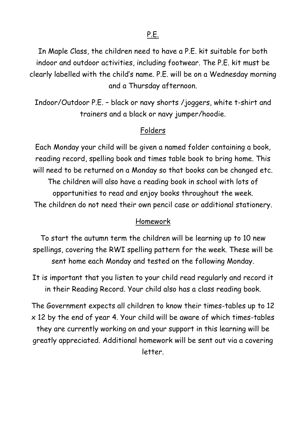In Maple Class, the children need to have a P.E. kit suitable for both indoor and outdoor activities, including footwear. The P.E. kit must be clearly labelled with the child's name. P.E. will be on a Wednesday morning and a Thursday afternoon.

Indoor/Outdoor P.E. – black or navy shorts /joggers, white t-shirt and trainers and a black or navy jumper/hoodie.

#### Folders

Each Monday your child will be given a named folder containing a book, reading record, spelling book and times table book to bring home. This will need to be returned on a Monday so that books can be changed etc. The children will also have a reading book in school with lots of opportunities to read and enjoy books throughout the week. The children do not need their own pencil case or additional stationery.

#### Homework

To start the autumn term the children will be learning up to 10 new spellings, covering the RWI spelling pattern for the week. These will be sent home each Monday and tested on the following Monday.

It is important that you listen to your child read regularly and record it in their Reading Record. Your child also has a class reading book.

The Government expects all children to know their times-tables up to 12 x 12 by the end of year 4. Your child will be aware of which times-tables they are currently working on and your support in this learning will be greatly appreciated. Additional homework will be sent out via a covering letter.